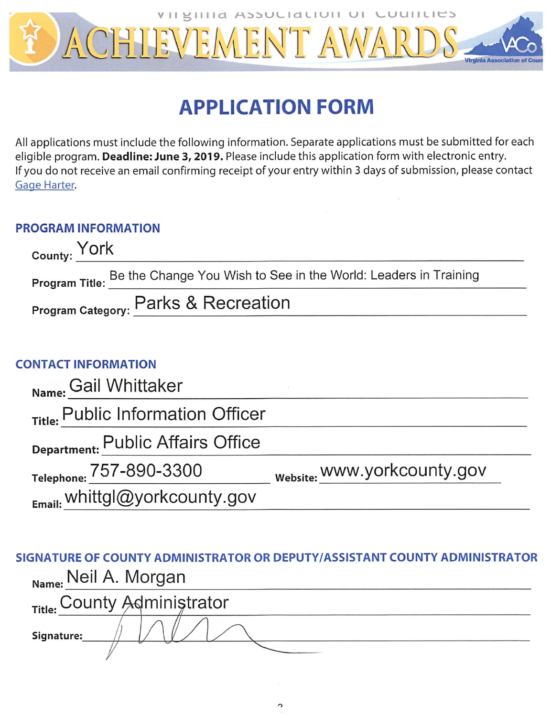

# **APPLICATION FORM**

All applications must include the following information. Separate applications must be submitted for each eligible program. Deadline: June 3, 2019. Please include this application form with electronic entry. If you do not receive an email confirming receipt of your entry within 3 days of submission, please contact Gage Harter.

## **PROGRAM INFORMATION**

| <sub>County:</sub> York                                                        |  |
|--------------------------------------------------------------------------------|--|
| Program Title: Be the Change You Wish to See in the World: Leaders in Training |  |
| Program Category: Parks & Recreation                                           |  |

### **CONTACT INFORMATION**

| <sub>Name:</sub> Gail Whittaker             |                             |
|---------------------------------------------|-----------------------------|
| Title: Public Information Officer           |                             |
| Department: Public Affairs Office           |                             |
| Telephone: 757-890-3300                     | Website: WWW.yorkcounty.gov |
| $_{F_{\text{mail}}}$ whittgl@yorkcounty.gov |                             |

| SIGNATURE OF COUNTY ADMINISTRATOR OR DEPUTY/ASSISTANT COUNTY ADMINISTRATOR |
|----------------------------------------------------------------------------|
| <sub>Name:</sub> Neil A. Morgan                                            |
| <sub>Title:</sub> County Administrator                                     |
| Signature:                                                                 |

C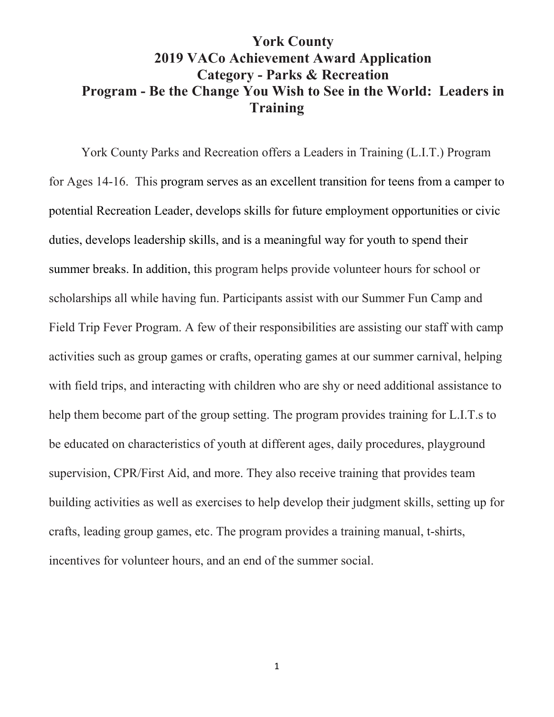# **York County 2019 VACo Achievement Award Application Category - Parks & Recreation Program - Be the Change You Wish to See in the World: Leaders in Training**

York County Parks and Recreation offers a Leaders in Training (L.I.T.) Program for Ages 14-16. This program serves as an excellent transition for teens from a camper to potential Recreation Leader, develops skills for future employment opportunities or civic duties, develops leadership skills, and is a meaningful way for youth to spend their summer breaks. In addition, this program helps provide volunteer hours for school or scholarships all while having fun. Participants assist with our Summer Fun Camp and Field Trip Fever Program. A few of their responsibilities are assisting our staff with camp activities such as group games or crafts, operating games at our summer carnival, helping with field trips, and interacting with children who are shy or need additional assistance to help them become part of the group setting. The program provides training for L.I.T.s to be educated on characteristics of youth at different ages, daily procedures, playground supervision, CPR/First Aid, and more. They also receive training that provides team building activities as well as exercises to help develop their judgment skills, setting up for crafts, leading group games, etc. The program provides a training manual, t-shirts, incentives for volunteer hours, and an end of the summer social.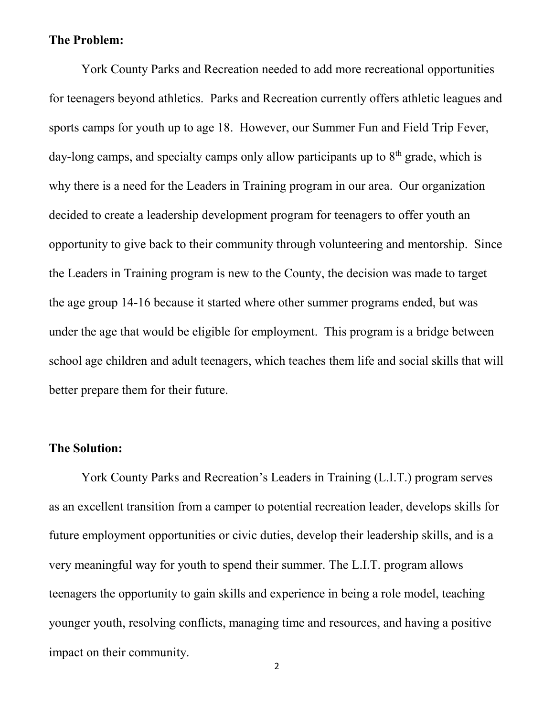#### **The Problem:**

York County Parks and Recreation needed to add more recreational opportunities for teenagers beyond athletics. Parks and Recreation currently offers athletic leagues and sports camps for youth up to age 18. However, our Summer Fun and Field Trip Fever, day-long camps, and specialty camps only allow participants up to  $8<sup>th</sup>$  grade, which is why there is a need for the Leaders in Training program in our area. Our organization decided to create a leadership development program for teenagers to offer youth an opportunity to give back to their community through volunteering and mentorship. Since the Leaders in Training program is new to the County, the decision was made to target the age group 14-16 because it started where other summer programs ended, but was under the age that would be eligible for employment. This program is a bridge between school age children and adult teenagers, which teaches them life and social skills that will better prepare them for their future.

#### **The Solution:**

York County Parks and Recreation's Leaders in Training (L.I.T.) program serves as an excellent transition from a camper to potential recreation leader, develops skills for future employment opportunities or civic duties, develop their leadership skills, and is a very meaningful way for youth to spend their summer. The L.I.T. program allows teenagers the opportunity to gain skills and experience in being a role model, teaching younger youth, resolving conflicts, managing time and resources, and having a positive impact on their community.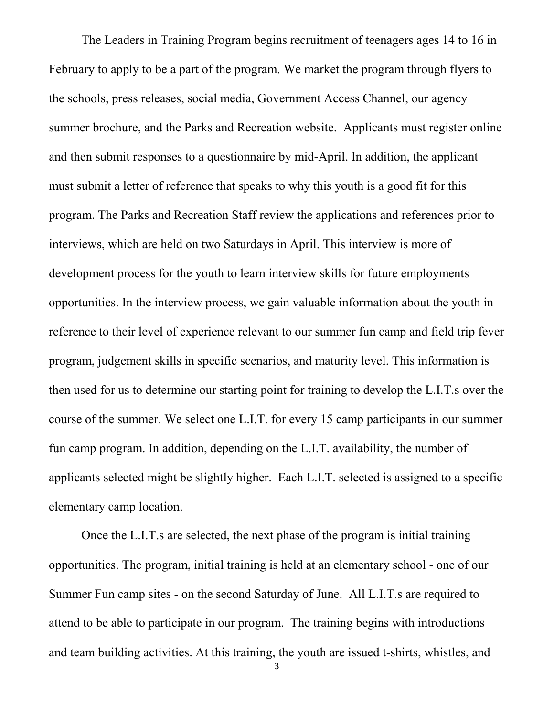The Leaders in Training Program begins recruitment of teenagers ages 14 to 16 in February to apply to be a part of the program. We market the program through flyers to the schools, press releases, social media, Government Access Channel, our agency summer brochure, and the Parks and Recreation website. Applicants must register online and then submit responses to a questionnaire by mid-April. In addition, the applicant must submit a letter of reference that speaks to why this youth is a good fit for this program. The Parks and Recreation Staff review the applications and references prior to interviews, which are held on two Saturdays in April. This interview is more of development process for the youth to learn interview skills for future employments opportunities. In the interview process, we gain valuable information about the youth in reference to their level of experience relevant to our summer fun camp and field trip fever program, judgement skills in specific scenarios, and maturity level. This information is then used for us to determine our starting point for training to develop the L.I.T.s over the course of the summer. We select one L.I.T. for every 15 camp participants in our summer fun camp program. In addition, depending on the L.I.T. availability, the number of applicants selected might be slightly higher. Each L.I.T. selected is assigned to a specific elementary camp location.

Once the L.I.T.s are selected, the next phase of the program is initial training opportunities. The program, initial training is held at an elementary school - one of our Summer Fun camp sites - on the second Saturday of June. All L.I.T.s are required to attend to be able to participate in our program. The training begins with introductions and team building activities. At this training, the youth are issued t-shirts, whistles, and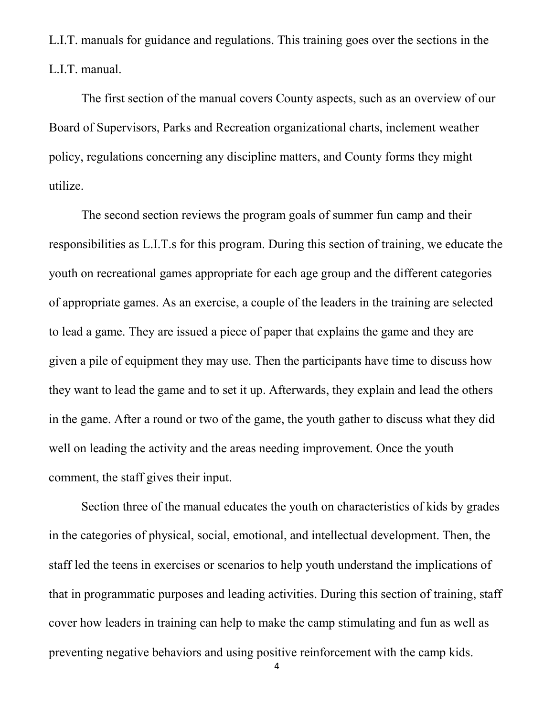L.I.T. manuals for guidance and regulations. This training goes over the sections in the L.I.T. manual.

The first section of the manual covers County aspects, such as an overview of our Board of Supervisors, Parks and Recreation organizational charts, inclement weather policy, regulations concerning any discipline matters, and County forms they might utilize.

The second section reviews the program goals of summer fun camp and their responsibilities as L.I.T.s for this program. During this section of training, we educate the youth on recreational games appropriate for each age group and the different categories of appropriate games. As an exercise, a couple of the leaders in the training are selected to lead a game. They are issued a piece of paper that explains the game and they are given a pile of equipment they may use. Then the participants have time to discuss how they want to lead the game and to set it up. Afterwards, they explain and lead the others in the game. After a round or two of the game, the youth gather to discuss what they did well on leading the activity and the areas needing improvement. Once the youth comment, the staff gives their input.

Section three of the manual educates the youth on characteristics of kids by grades in the categories of physical, social, emotional, and intellectual development. Then, the staff led the teens in exercises or scenarios to help youth understand the implications of that in programmatic purposes and leading activities. During this section of training, staff cover how leaders in training can help to make the camp stimulating and fun as well as preventing negative behaviors and using positive reinforcement with the camp kids.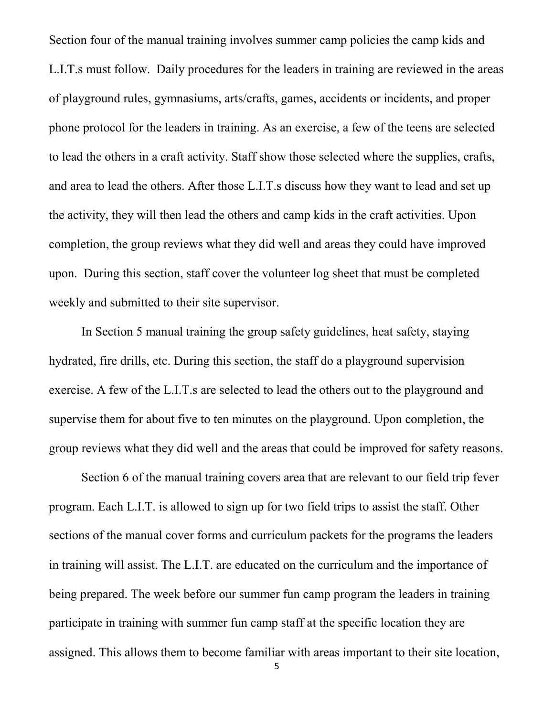Section four of the manual training involves summer camp policies the camp kids and L.I.T.s must follow. Daily procedures for the leaders in training are reviewed in the areas of playground rules, gymnasiums, arts/crafts, games, accidents or incidents, and proper phone protocol for the leaders in training. As an exercise, a few of the teens are selected to lead the others in a craft activity. Staff show those selected where the supplies, crafts, and area to lead the others. After those L.I.T.s discuss how they want to lead and set up the activity, they will then lead the others and camp kids in the craft activities. Upon completion, the group reviews what they did well and areas they could have improved upon. During this section, staff cover the volunteer log sheet that must be completed weekly and submitted to their site supervisor.

In Section 5 manual training the group safety guidelines, heat safety, staying hydrated, fire drills, etc. During this section, the staff do a playground supervision exercise. A few of the L.I.T.s are selected to lead the others out to the playground and supervise them for about five to ten minutes on the playground. Upon completion, the group reviews what they did well and the areas that could be improved for safety reasons.

Section 6 of the manual training covers area that are relevant to our field trip fever program. Each L.I.T. is allowed to sign up for two field trips to assist the staff. Other sections of the manual cover forms and curriculum packets for the programs the leaders in training will assist. The L.I.T. are educated on the curriculum and the importance of being prepared. The week before our summer fun camp program the leaders in training participate in training with summer fun camp staff at the specific location they are assigned. This allows them to become familiar with areas important to their site location,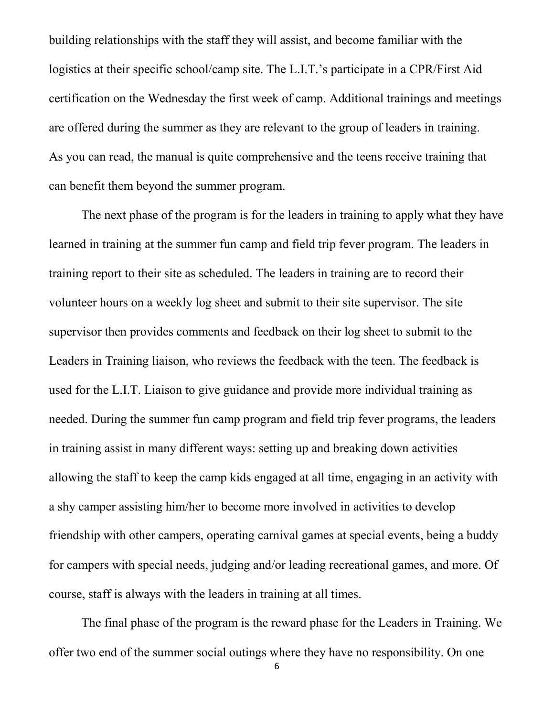building relationships with the staff they will assist, and become familiar with the logistics at their specific school/camp site. The L.I.T.'s participate in a CPR/First Aid certification on the Wednesday the first week of camp. Additional trainings and meetings are offered during the summer as they are relevant to the group of leaders in training. As you can read, the manual is quite comprehensive and the teens receive training that can benefit them beyond the summer program.

The next phase of the program is for the leaders in training to apply what they have learned in training at the summer fun camp and field trip fever program. The leaders in training report to their site as scheduled. The leaders in training are to record their volunteer hours on a weekly log sheet and submit to their site supervisor. The site supervisor then provides comments and feedback on their log sheet to submit to the Leaders in Training liaison, who reviews the feedback with the teen. The feedback is used for the L.I.T. Liaison to give guidance and provide more individual training as needed. During the summer fun camp program and field trip fever programs, the leaders in training assist in many different ways: setting up and breaking down activities allowing the staff to keep the camp kids engaged at all time, engaging in an activity with a shy camper assisting him/her to become more involved in activities to develop friendship with other campers, operating carnival games at special events, being a buddy for campers with special needs, judging and/or leading recreational games, and more. Of course, staff is always with the leaders in training at all times.

The final phase of the program is the reward phase for the Leaders in Training. We offer two end of the summer social outings where they have no responsibility. On one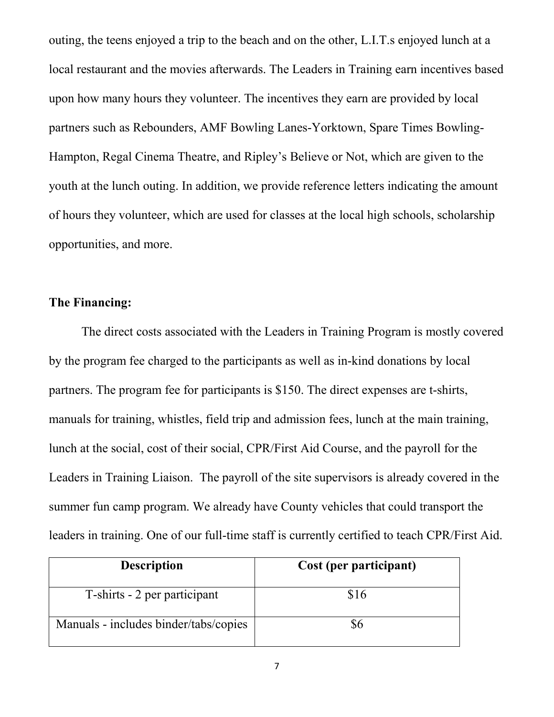outing, the teens enjoyed a trip to the beach and on the other, L.I.T.s enjoyed lunch at a local restaurant and the movies afterwards. The Leaders in Training earn incentives based upon how many hours they volunteer. The incentives they earn are provided by local partners such as Rebounders, AMF Bowling Lanes-Yorktown, Spare Times Bowling-Hampton, Regal Cinema Theatre, and Ripley's Believe or Not, which are given to the youth at the lunch outing. In addition, we provide reference letters indicating the amount of hours they volunteer, which are used for classes at the local high schools, scholarship opportunities, and more.

#### **The Financing:**

The direct costs associated with the Leaders in Training Program is mostly covered by the program fee charged to the participants as well as in-kind donations by local partners. The program fee for participants is \$150. The direct expenses are t-shirts, manuals for training, whistles, field trip and admission fees, lunch at the main training, lunch at the social, cost of their social, CPR/First Aid Course, and the payroll for the Leaders in Training Liaison. The payroll of the site supervisors is already covered in the summer fun camp program. We already have County vehicles that could transport the leaders in training. One of our full-time staff is currently certified to teach CPR/First Aid.

| <b>Description</b>                    | Cost (per participant) |
|---------------------------------------|------------------------|
| T-shirts - 2 per participant          | \$16                   |
| Manuals - includes binder/tabs/copies | 56.                    |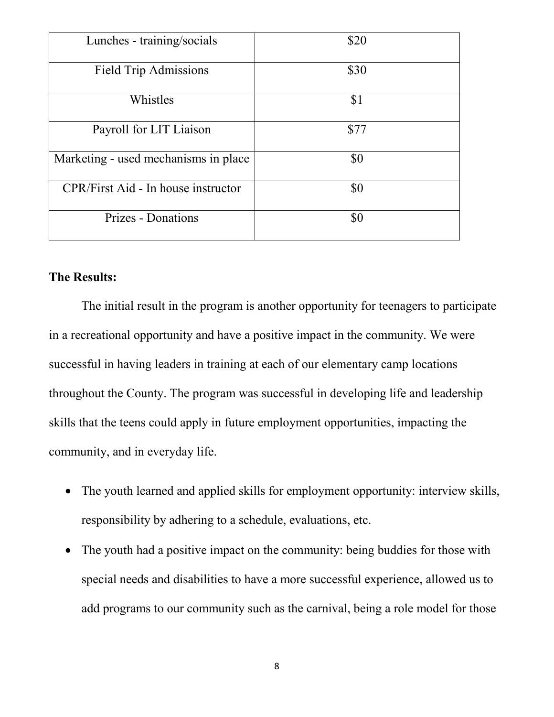| Lunches - training/socials           | \$20 |
|--------------------------------------|------|
| <b>Field Trip Admissions</b>         | \$30 |
| Whistles                             | \$1  |
| Payroll for LIT Liaison              | \$77 |
| Marketing - used mechanisms in place | \$0  |
| CPR/First Aid - In house instructor  | \$0  |
| <b>Prizes - Donations</b>            | \$0  |

#### **The Results:**

The initial result in the program is another opportunity for teenagers to participate in a recreational opportunity and have a positive impact in the community. We were successful in having leaders in training at each of our elementary camp locations throughout the County. The program was successful in developing life and leadership skills that the teens could apply in future employment opportunities, impacting the community, and in everyday life.

- The youth learned and applied skills for employment opportunity: interview skills, responsibility by adhering to a schedule, evaluations, etc.
- The youth had a positive impact on the community: being buddies for those with special needs and disabilities to have a more successful experience, allowed us to add programs to our community such as the carnival, being a role model for those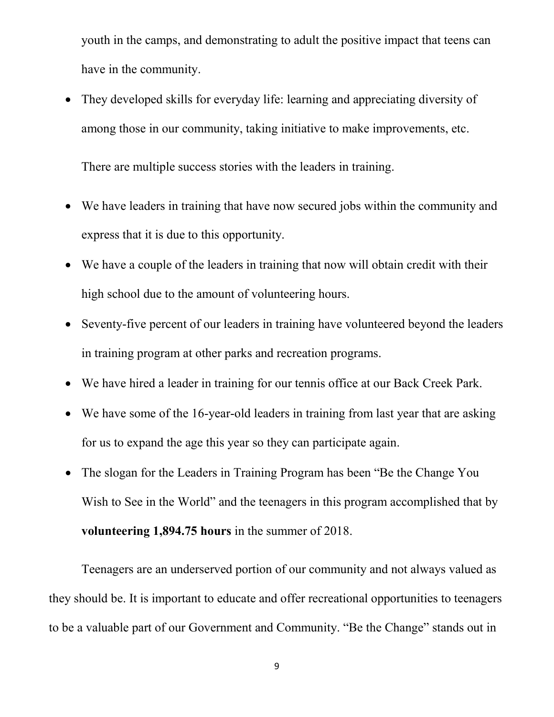youth in the camps, and demonstrating to adult the positive impact that teens can have in the community.

• They developed skills for everyday life: learning and appreciating diversity of among those in our community, taking initiative to make improvements, etc.

There are multiple success stories with the leaders in training.

- We have leaders in training that have now secured jobs within the community and express that it is due to this opportunity.
- We have a couple of the leaders in training that now will obtain credit with their high school due to the amount of volunteering hours.
- Seventy-five percent of our leaders in training have volunteered beyond the leaders in training program at other parks and recreation programs.
- We have hired a leader in training for our tennis office at our Back Creek Park.
- We have some of the 16-year-old leaders in training from last year that are asking for us to expand the age this year so they can participate again.
- The slogan for the Leaders in Training Program has been "Be the Change You" Wish to See in the World" and the teenagers in this program accomplished that by **volunteering 1,894.75 hours** in the summer of 2018.

Teenagers are an underserved portion of our community and not always valued as they should be. It is important to educate and offer recreational opportunities to teenagers to be a valuable part of our Government and Community. "Be the Change" stands out in